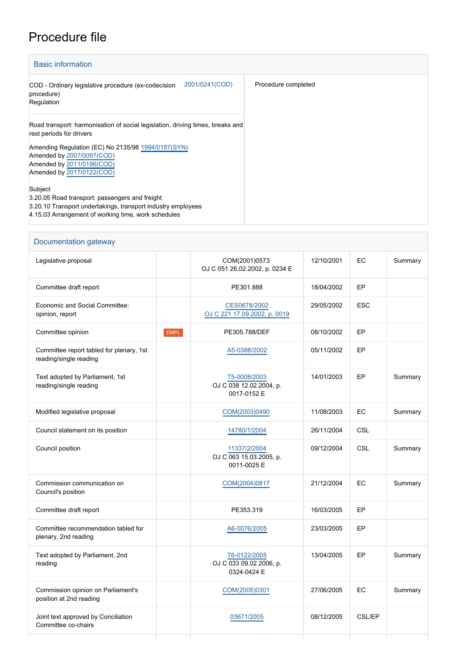## Procedure file

| <b>Basic information</b>                                                                                                                                                         |                     |  |  |
|----------------------------------------------------------------------------------------------------------------------------------------------------------------------------------|---------------------|--|--|
| 2001/0241(COD)<br>COD - Ordinary legislative procedure (ex-codecision<br>procedure)<br>Regulation                                                                                | Procedure completed |  |  |
| Road transport: harmonisation of social legislation, driving times, breaks and<br>rest periods for drivers                                                                       |                     |  |  |
| Amending Regulation (EC) No 2135/98 1994/0187(SYN)<br>Amended by 2007/0097(COD)<br>Amended by 2011/0196(COD)<br>Amended by 2017/0122(COD)                                        |                     |  |  |
| Subject<br>3.20.05 Road transport: passengers and freight<br>3.20.10 Transport undertakings, transport industry employees<br>4.15.03 Arrangement of working time, work schedules |                     |  |  |

| Documentation gateway                                              |                                                        |            |            |         |
|--------------------------------------------------------------------|--------------------------------------------------------|------------|------------|---------|
| Legislative proposal                                               | COM(2001)0573<br>OJ C 051 26.02.2002, p. 0234 E        | 12/10/2001 | EC         | Summary |
| Committee draft report                                             | PE301.888                                              | 18/04/2002 | EP         |         |
| Economic and Social Committee:<br>opinion, report                  | CES0678/2002<br>OJ C 221 17.09.2002, p. 0019           | 29/05/2002 | <b>ESC</b> |         |
| Committee opinion<br><b>EMPL</b>                                   | PE305.788/DEF                                          | 08/10/2002 | EP         |         |
| Committee report tabled for plenary, 1st<br>reading/single reading | A5-0388/2002                                           | 05/11/2002 | EP         |         |
| Text adopted by Parliament, 1st<br>reading/single reading          | T5-0008/2003<br>OJ C 038 12.02.2004, p.<br>0017-0152 E | 14/01/2003 | EP         | Summary |
| Modified legislative proposal                                      | COM(2003)0490                                          | 11/08/2003 | EC         | Summary |
| Council statement on its position                                  | 14780/1/2004                                           | 26/11/2004 | <b>CSL</b> |         |
| Council position                                                   | 11337/2/2004<br>OJ C 063 15.03.2005, p.<br>0011-0025 E | 09/12/2004 | <b>CSL</b> | Summary |
| Commission communication on<br>Council's position                  | COM(2004)0817                                          | 21/12/2004 | EC         | Summary |
| Committee draft report                                             | PE353.319                                              | 16/03/2005 | EP         |         |
| Committee recommendation tabled for<br>plenary, 2nd reading        | A6-0076/2005                                           | 23/03/2005 | EP         |         |
| Text adopted by Parliament, 2nd<br>reading                         | T6-0122/2005<br>OJ C 033 09.02.2006, p.<br>0324-0424 E | 13/04/2005 | EP         | Summary |
| Commission opinion on Parliament's<br>position at 2nd reading      | COM(2005)0301                                          | 27/06/2005 | EC         | Summary |
| Joint text approved by Conciliation<br>Committee co-chairs         | 03671/2005                                             | 08/12/2005 | CSL/EP     |         |